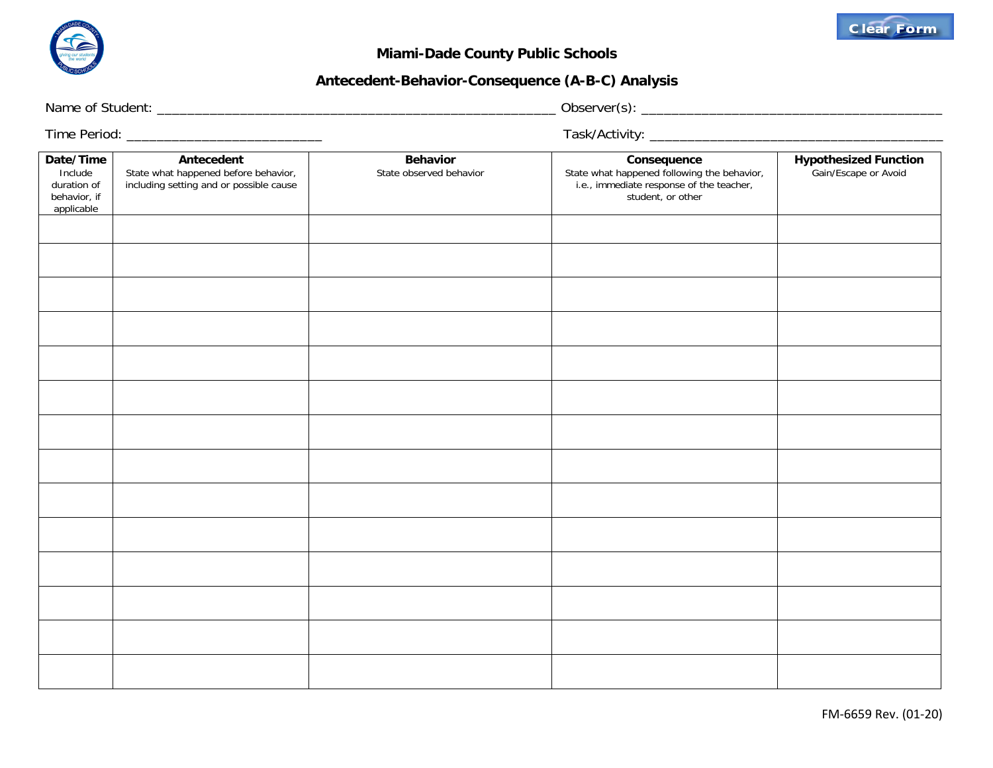

## **Miami-Dade County Public Schools**

## **Antecedent-Behavior-Consequence (A-B-C) Analysis**

Name of Student: \_\_\_\_\_\_\_\_\_\_\_\_\_\_\_\_\_\_\_\_\_\_\_\_\_\_\_\_\_\_\_\_\_\_\_\_\_\_\_\_\_\_\_\_\_\_\_\_\_\_\_\_\_ Observer(s): \_\_\_\_\_\_\_\_\_\_\_\_\_\_\_\_\_\_\_\_\_\_\_\_\_\_\_\_\_\_\_\_\_\_\_\_\_\_\_\_

Time Period: \_\_\_\_\_\_\_\_\_\_\_\_\_\_\_\_\_\_\_\_\_\_\_\_\_\_ Task/Activity: \_\_\_\_\_\_\_\_\_\_\_\_\_\_\_\_\_\_\_\_\_\_\_\_\_\_\_\_\_\_\_\_\_\_\_\_\_\_\_

| Date/Time<br>Include<br>duration of<br>behavior, if<br>applicable | Antecedent<br>State what happened before behavior,<br>including setting and or possible cause | Behavior<br>State observed behavior | Consequence<br>State what happened following the behavior,<br>i.e., immediate response of the teacher,<br>student, or other | Hypothesized Function<br>Gain/Escape or Avoid |
|-------------------------------------------------------------------|-----------------------------------------------------------------------------------------------|-------------------------------------|-----------------------------------------------------------------------------------------------------------------------------|-----------------------------------------------|
|                                                                   |                                                                                               |                                     |                                                                                                                             |                                               |
|                                                                   |                                                                                               |                                     |                                                                                                                             |                                               |
|                                                                   |                                                                                               |                                     |                                                                                                                             |                                               |
|                                                                   |                                                                                               |                                     |                                                                                                                             |                                               |
|                                                                   |                                                                                               |                                     |                                                                                                                             |                                               |
|                                                                   |                                                                                               |                                     |                                                                                                                             |                                               |
|                                                                   |                                                                                               |                                     |                                                                                                                             |                                               |
|                                                                   |                                                                                               |                                     |                                                                                                                             |                                               |
|                                                                   |                                                                                               |                                     |                                                                                                                             |                                               |
|                                                                   |                                                                                               |                                     |                                                                                                                             |                                               |
|                                                                   |                                                                                               |                                     |                                                                                                                             |                                               |
|                                                                   |                                                                                               |                                     |                                                                                                                             |                                               |
|                                                                   |                                                                                               |                                     |                                                                                                                             |                                               |
|                                                                   |                                                                                               |                                     |                                                                                                                             |                                               |